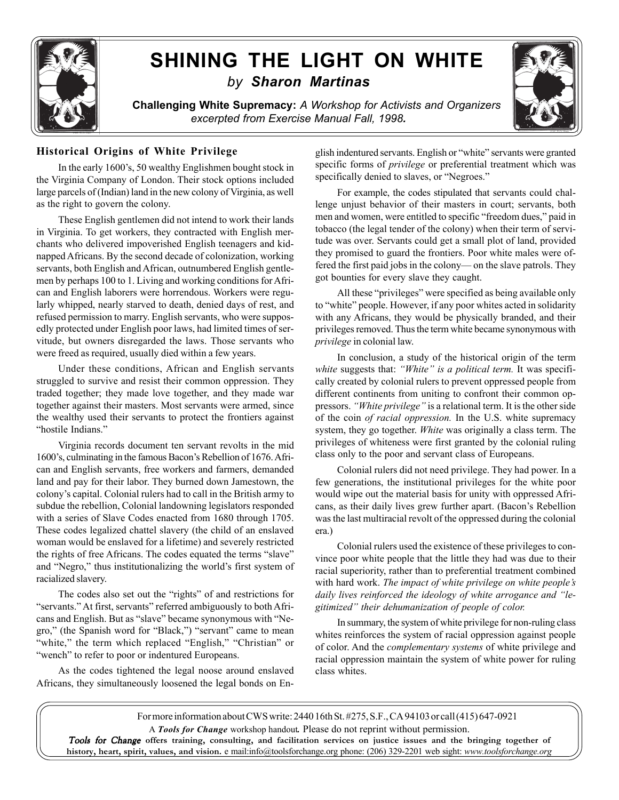

## **SHINING THE LIGHT ON WHITE** *by Sharon Martinas*

**Challenging White Supremacy:** *A Workshop for Activists and Organizers excerpted from Exercise Manual Fall, 1998.*



## **Historical Origins of White Privilege**

In the early 1600's, 50 wealthy Englishmen bought stock in the Virginia Company of London. Their stock options included large parcels of (Indian) land in the new colony of Virginia, as well as the right to govern the colony.

These English gentlemen did not intend to work their lands in Virginia. To get workers, they contracted with English merchants who delivered impoverished English teenagers and kidnapped Africans. By the second decade of colonization, working servants, both English and African, outnumbered English gentlemen by perhaps 100 to 1. Living and working conditions for African and English laborers were horrendous. Workers were regularly whipped, nearly starved to death, denied days of rest, and refused permission to marry. English servants, who were supposedly protected under English poor laws, had limited times of servitude, but owners disregarded the laws. Those servants who were freed as required, usually died within a few years.

Under these conditions, African and English servants struggled to survive and resist their common oppression. They traded together; they made love together, and they made war together against their masters. Most servants were armed, since the wealthy used their servants to protect the frontiers against "hostile Indians."

Virginia records document ten servant revolts in the mid 1600's, culminating in the famous Bacon's Rebellion of 1676. African and English servants, free workers and farmers, demanded land and pay for their labor. They burned down Jamestown, the colony's capital. Colonial rulers had to call in the British army to subdue the rebellion, Colonial landowning legislators responded with a series of Slave Codes enacted from 1680 through 1705. These codes legalized chattel slavery (the child of an enslaved woman would be enslaved for a lifetime) and severely restricted the rights of free Africans. The codes equated the terms "slave" and "Negro," thus institutionalizing the world's first system of racialized slavery.

The codes also set out the "rights" of and restrictions for "servants." At first, servants" referred ambiguously to both Africans and English. But as "slave" became synonymous with "Negro," (the Spanish word for "Black,") "servant" came to mean "white," the term which replaced "English," "Christian" or "wench" to refer to poor or indentured Europeans.

As the codes tightened the legal noose around enslaved Africans, they simultaneously loosened the legal bonds on English indentured servants. English or "white" servants were granted specific forms of *privilege* or preferential treatment which was specifically denied to slaves, or "Negroes."

For example, the codes stipulated that servants could challenge unjust behavior of their masters in court; servants, both men and women, were entitled to specific "freedom dues," paid in tobacco (the legal tender of the colony) when their term of servitude was over. Servants could get a small plot of land, provided they promised to guard the frontiers. Poor white males were offered the first paid jobs in the colony— on the slave patrols. They got bounties for every slave they caught.

All these "privileges" were specified as being available only to "white" people. However, if any poor whites acted in solidarity with any Africans, they would be physically branded, and their privileges removed. Thus the term white became synonymous with *privilege* in colonial law.

In conclusion, a study of the historical origin of the term *white* suggests that: *"White" is a political term.* It was specifically created by colonial rulers to prevent oppressed people from different continents from uniting to confront their common oppressors. *"White privilege"* is a relational term. It is the other side of the coin *of racial oppression.* In the U.S. white supremacy system, they go together. *White* was originally a class term. The privileges of whiteness were first granted by the colonial ruling class only to the poor and servant class of Europeans.

Colonial rulers did not need privilege. They had power. In a few generations, the institutional privileges for the white poor would wipe out the material basis for unity with oppressed Africans, as their daily lives grew further apart. (Bacon's Rebellion was the last multiracial revolt of the oppressed during the colonial era.)

Colonial rulers used the existence of these privileges to convince poor white people that the little they had was due to their racial superiority, rather than to preferential treatment combined with hard work. *The impact of white privilege on white people's daily lives reinforced the ideology of white arrogance and "legitimized" their dehumanization of people of color.*

In summary, the system of white privilege for non-ruling class whites reinforces the system of racial oppression against people of color. And the *complementary systems* of white privilege and racial oppression maintain the system of white power for ruling class whites.

For more information about CWS write: 2440 16th St. #275, S.F., CA 94103 or call (415) 647-0921 A *Tools for Change* workshop handout*.* Please do not reprint without permission. Tools for Change offers training, consulting, and facilitation services on justice issues and the bringing together of **history, heart, spirit, values, and vision.** e mail:info@toolsforchange.org phone: (206) 329-2201 web sight: *www.toolsforchange.org*